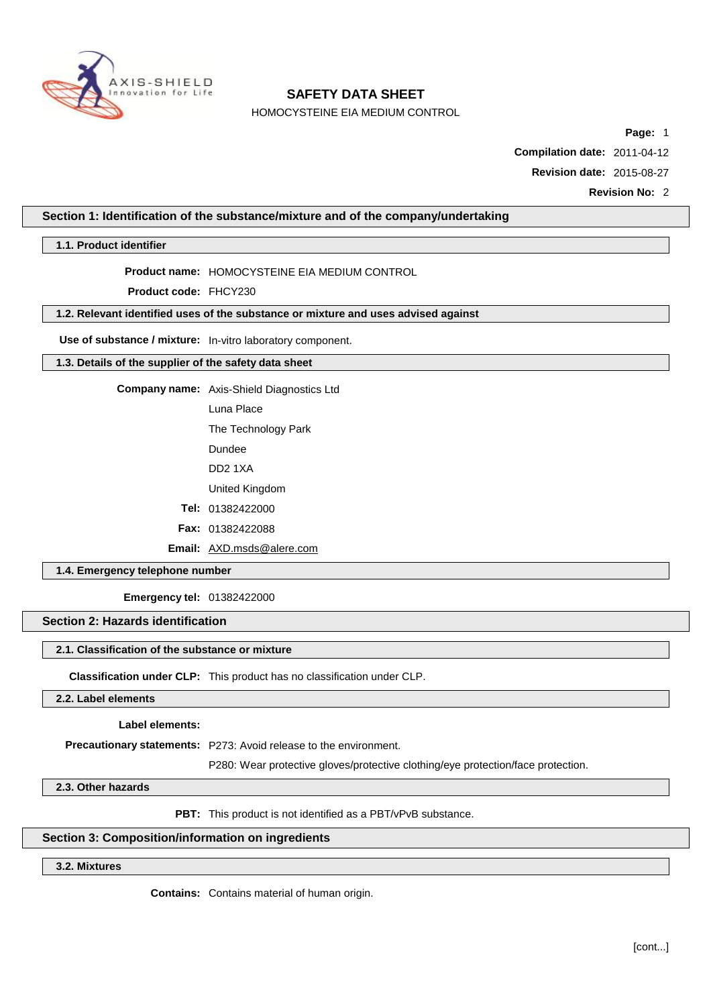

HOMOCYSTEINE EIA MEDIUM CONTROL

**Page:** 1

**Compilation date:** 2011-04-12

**Revision date:** 2015-08-27

**Revision No:** 2

### **Section 1: Identification of the substance/mixture and of the company/undertaking**

**1.1. Product identifier**

**Product name:** HOMOCYSTEINE EIA MEDIUM CONTROL

**Product code:** FHCY230

### **1.2. Relevant identified uses of the substance or mixture and uses advised against**

**Use of substance / mixture:** In-vitro laboratory component.

### **1.3. Details of the supplier of the safety data sheet**

**Company name:** Axis-Shield Diagnostics Ltd

Luna Place

The Technology Park

Dundee

DD2 1XA

United Kingdom

**Tel:** 01382422000

**Fax:** 01382422088

**Email:** [AXD.msds@alere.com](mailto:AXD.msds@alere.com)

**1.4. Emergency telephone number**

**Emergency tel:** 01382422000

# **Section 2: Hazards identification**

### **2.1. Classification of the substance or mixture**

**Classification under CLP:** This product has no classification under CLP.

### **2.2. Label elements**

**Label elements:**

**Precautionary statements:** P273: Avoid release to the environment.

P280: Wear protective gloves/protective clothing/eye protection/face protection.

**2.3. Other hazards**

**PBT:** This product is not identified as a PBT/vPvB substance.

### **Section 3: Composition/information on ingredients**

# **3.2. Mixtures**

**Contains:** Contains material of human origin.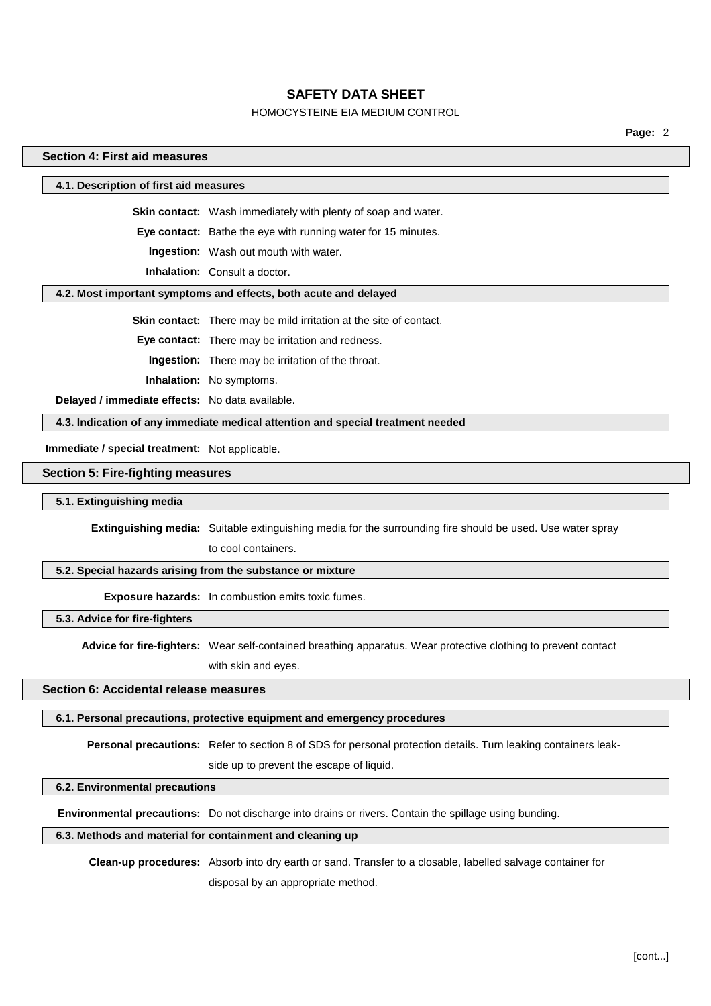### HOMOCYSTEINE EIA MEDIUM CONTROL

**Page:** 2

### **Section 4: First aid measures**

#### **4.1. Description of first aid measures**

**Skin contact:** Wash immediately with plenty of soap and water.

**Eye contact:** Bathe the eye with running water for 15 minutes.

**Ingestion:** Wash out mouth with water.

**Inhalation:** Consult a doctor.

#### **4.2. Most important symptoms and effects, both acute and delayed**

**Skin contact:** There may be mild irritation at the site of contact.

**Eye contact:** There may be irritation and redness.

**Ingestion:** There may be irritation of the throat.

**Inhalation:** No symptoms.

**Delayed / immediate effects:** No data available.

**4.3. Indication of any immediate medical attention and special treatment needed**

**Immediate / special treatment:** Not applicable.

#### **Section 5: Fire-fighting measures**

#### **5.1. Extinguishing media**

**Extinguishing media:** Suitable extinguishing media for the surrounding fire should be used. Use water spray

to cool containers.

### **5.2. Special hazards arising from the substance or mixture**

**Exposure hazards:** In combustion emits toxic fumes.

**5.3. Advice for fire-fighters**

**Advice for fire-fighters:** Wear self-contained breathing apparatus. Wear protective clothing to prevent contact with skin and eyes.

### **Section 6: Accidental release measures**

#### **6.1. Personal precautions, protective equipment and emergency procedures**

**Personal precautions:** Refer to section 8 of SDS for personal protection details. Turn leaking containers leak-

side up to prevent the escape of liquid.

#### **6.2. Environmental precautions**

**Environmental precautions:** Do not discharge into drains or rivers. Contain the spillage using bunding.

### **6.3. Methods and material for containment and cleaning up**

**Clean-up procedures:** Absorb into dry earth or sand. Transfer to a closable, labelled salvage container for disposal by an appropriate method.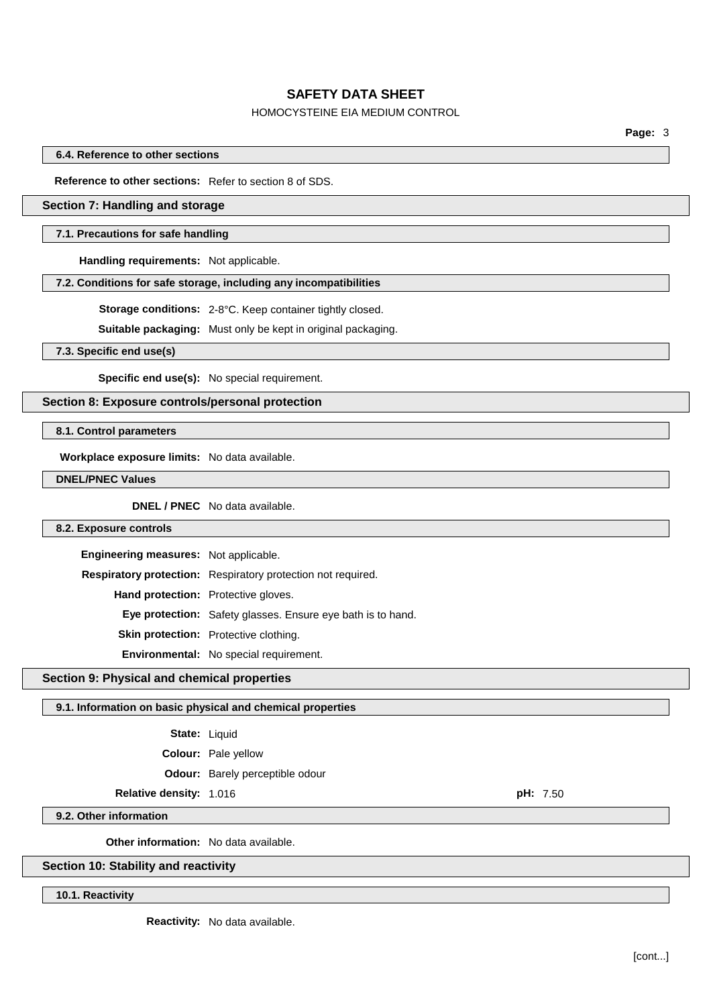## HOMOCYSTEINE EIA MEDIUM CONTROL

**Page:** 3

**6.4. Reference to other sections**

**Reference to other sections:** Refer to section 8 of SDS.

### **Section 7: Handling and storage**

#### **7.1. Precautions for safe handling**

**Handling requirements:** Not applicable.

#### **7.2. Conditions for safe storage, including any incompatibilities**

**Storage conditions:** 2-8°C. Keep container tightly closed.

**Suitable packaging:** Must only be kept in original packaging.

**7.3. Specific end use(s)**

**Specific end use(s):** No special requirement.

### **Section 8: Exposure controls/personal protection**

**8.1. Control parameters**

**Workplace exposure limits:** No data available.

**DNEL/PNEC Values**

**DNEL / PNEC** No data available.

### **8.2. Exposure controls**

| Engineering measures: Not applicable.      |                                                                    |
|--------------------------------------------|--------------------------------------------------------------------|
|                                            | Respiratory protection: Respiratory protection not required.       |
| <b>Hand protection:</b> Protective gloves. |                                                                    |
|                                            | <b>Eye protection:</b> Safety glasses. Ensure eye bath is to hand. |
|                                            | Skin protection: Protective clothing.                              |
|                                            | Environmental: No special requirement.                             |

#### **Section 9: Physical and chemical properties**

#### **9.1. Information on basic physical and chemical properties**

| State: | Liquid |
|--------|--------|
|--------|--------|

**Colour:** Pale yellow

**Odour:** Barely perceptible odour

### **Relative density:** 1.016 **pH:** 7.50

**9.2. Other information**

**Other information:** No data available.

#### **Section 10: Stability and reactivity**

**10.1. Reactivity**

**Reactivity:** No data available.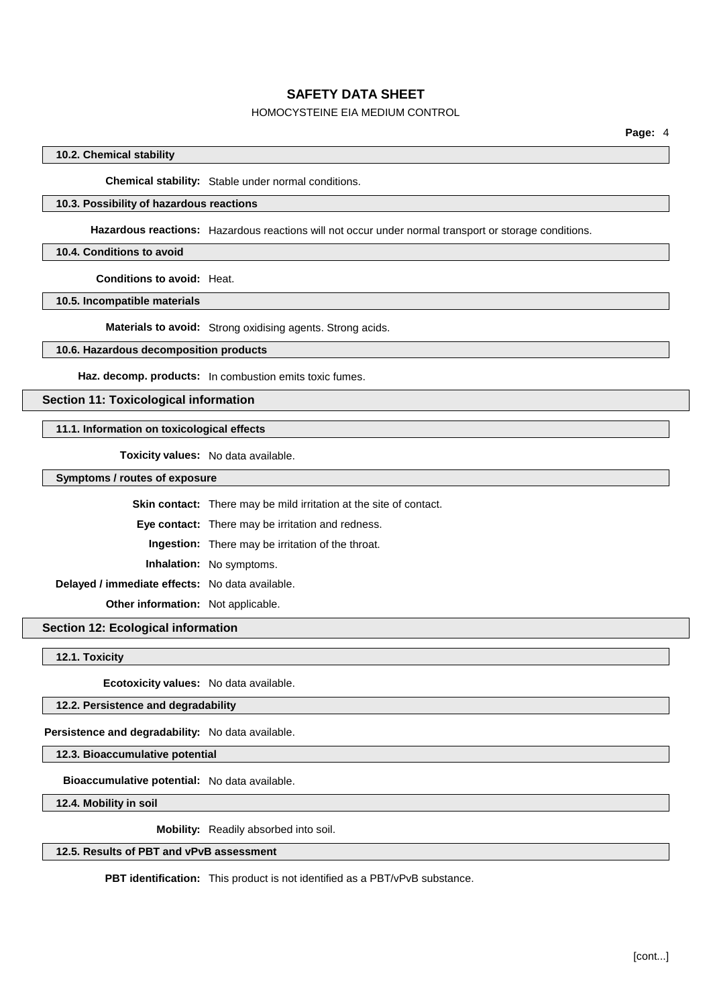### HOMOCYSTEINE EIA MEDIUM CONTROL

### **10.2. Chemical stability**

**Chemical stability:** Stable under normal conditions.

### **10.3. Possibility of hazardous reactions**

**Hazardous reactions:** Hazardous reactions will not occur under normal transport or storage conditions.

#### **10.4. Conditions to avoid**

**Conditions to avoid:** Heat.

**10.5. Incompatible materials**

**Materials to avoid:** Strong oxidising agents. Strong acids.

#### **10.6. Hazardous decomposition products**

**Haz. decomp. products:** In combustion emits toxic fumes.

### **Section 11: Toxicological information**

### **11.1. Information on toxicological effects**

**Toxicity values:** No data available.

**Symptoms / routes of exposure**

|                                                 | <b>Skin contact:</b> There may be mild irritation at the site of contact. |  |
|-------------------------------------------------|---------------------------------------------------------------------------|--|
|                                                 | <b>Eye contact:</b> There may be irritation and redness.                  |  |
|                                                 | <b>Ingestion:</b> There may be irritation of the throat.                  |  |
|                                                 | <b>Inhalation:</b> No symptoms.                                           |  |
| Delayed / immediate effects: No data available. |                                                                           |  |
| <b>Other information:</b> Not applicable.       |                                                                           |  |

# **Section 12: Ecological information**

**12.1. Toxicity**

**Ecotoxicity values:** No data available.

### **12.2. Persistence and degradability**

**Persistence and degradability:** No data available.

**12.3. Bioaccumulative potential**

**Bioaccumulative potential:** No data available.

**12.4. Mobility in soil**

**Mobility:** Readily absorbed into soil.

### **12.5. Results of PBT and vPvB assessment**

**PBT identification:** This product is not identified as a PBT/vPvB substance.